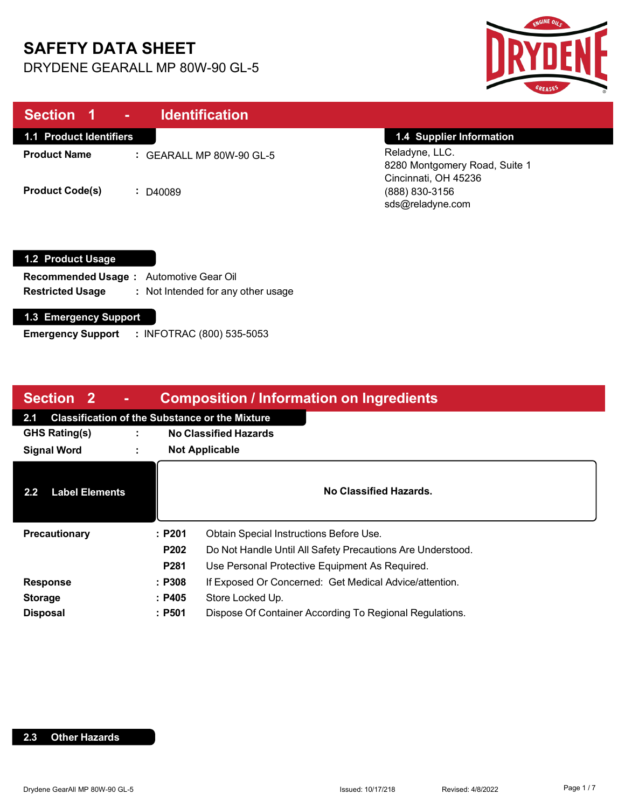# **SAFETY DATA SHEET**

DRYDENE GEARALL MP 80W-90 GL-5



| Section 1 -                    | <b>Identification</b>               |                                                                         |
|--------------------------------|-------------------------------------|-------------------------------------------------------------------------|
| <b>1.1 Product Identifiers</b> |                                     | 1.4 Supplier Information                                                |
| <b>Product Name</b>            | $\therefore$ GEARALL MP 80W-90 GL-5 | Reladyne, LLC.<br>8280 Montgomery Road, Suite 1<br>Cincinnati, OH 45236 |
| <b>Product Code(s)</b>         | D40089                              | (888) 830-3156<br>sds@reladyne.com                                      |

#### **1.2 Product Usage**

| <b>Recommended Usage:</b> Automotive Gear Oil |                                    |
|-----------------------------------------------|------------------------------------|
| <b>Restricted Usage</b>                       | : Not Intended for any other usage |

#### **1.3 Emergency Support**

**Emergency Support :** INFOTRAC (800) 535-5053

| Section 2                                                    | $\blacksquare$ |        | <b>Composition / Information on Ingredients</b>            |
|--------------------------------------------------------------|----------------|--------|------------------------------------------------------------|
| <b>Classification of the Substance or the Mixture</b><br>2.1 |                |        |                                                            |
| <b>GHS Rating(s)</b>                                         |                |        | <b>No Classified Hazards</b>                               |
| <b>Signal Word</b>                                           | $\blacksquare$ |        | <b>Not Applicable</b>                                      |
| <b>Label Elements</b><br>$2.2\phantom{0}$                    |                |        | No Classified Hazards.                                     |
| <b>Precautionary</b>                                         |                | :P201  | Obtain Special Instructions Before Use.                    |
|                                                              |                | P202   | Do Not Handle Until All Safety Precautions Are Understood. |
|                                                              |                | P281   | Use Personal Protective Equipment As Required.             |
| <b>Response</b>                                              |                | : P308 | If Exposed Or Concerned: Get Medical Advice/attention.     |
| <b>Storage</b>                                               |                | : P405 | Store Locked Up.                                           |
| <b>Disposal</b>                                              |                | : P501 | Dispose Of Container According To Regional Regulations.    |

#### **2.3 Other Hazards**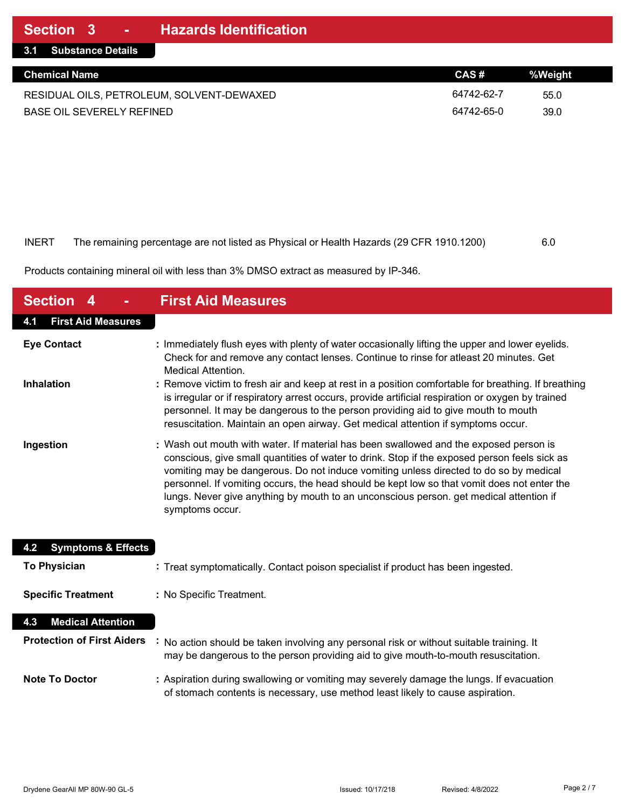| 3.1 Substance Details                     |            |         |
|-------------------------------------------|------------|---------|
| <b>Chemical Name</b>                      | CAS#       | %Weight |
| RESIDUAL OILS, PETROLEUM, SOLVENT-DEWAXED | 64742-62-7 | 55.0    |
| <b>BASE OIL SEVERELY REFINED</b>          | 64742-65-0 | 39.0    |

| INERT | The remaining percentage are not listed as Physical or Health Hazards (29 CFR 1910.1200) | 6.0 |
|-------|------------------------------------------------------------------------------------------|-----|

Products containing mineral oil with less than 3% DMSO extract as measured by IP-346.

| <b>Section 4</b>                     | <b>First Aid Measures</b>                                                                                                                                                                                                                                                                                                                                                                                                                                                                  |
|--------------------------------------|--------------------------------------------------------------------------------------------------------------------------------------------------------------------------------------------------------------------------------------------------------------------------------------------------------------------------------------------------------------------------------------------------------------------------------------------------------------------------------------------|
| <b>First Aid Measures</b><br>4.1     |                                                                                                                                                                                                                                                                                                                                                                                                                                                                                            |
| <b>Eye Contact</b>                   | : Immediately flush eyes with plenty of water occasionally lifting the upper and lower eyelids.<br>Check for and remove any contact lenses. Continue to rinse for atleast 20 minutes. Get<br><b>Medical Attention.</b>                                                                                                                                                                                                                                                                     |
| <b>Inhalation</b>                    | : Remove victim to fresh air and keep at rest in a position comfortable for breathing. If breathing<br>is irregular or if respiratory arrest occurs, provide artificial respiration or oxygen by trained<br>personnel. It may be dangerous to the person providing aid to give mouth to mouth<br>resuscitation. Maintain an open airway. Get medical attention if symptoms occur.                                                                                                          |
| Ingestion                            | : Wash out mouth with water. If material has been swallowed and the exposed person is<br>conscious, give small quantities of water to drink. Stop if the exposed person feels sick as<br>vomiting may be dangerous. Do not induce vomiting unless directed to do so by medical<br>personnel. If vomiting occurs, the head should be kept low so that vomit does not enter the<br>lungs. Never give anything by mouth to an unconscious person. get medical attention if<br>symptoms occur. |
| <b>Symptoms &amp; Effects</b><br>4.2 |                                                                                                                                                                                                                                                                                                                                                                                                                                                                                            |
| <b>To Physician</b>                  | : Treat symptomatically. Contact poison specialist if product has been ingested.                                                                                                                                                                                                                                                                                                                                                                                                           |
| <b>Specific Treatment</b>            | : No Specific Treatment.                                                                                                                                                                                                                                                                                                                                                                                                                                                                   |
| <b>Medical Attention</b><br>4.3      |                                                                                                                                                                                                                                                                                                                                                                                                                                                                                            |
| <b>Protection of First Aiders</b>    | No action should be taken involving any personal risk or without suitable training. It<br>may be dangerous to the person providing aid to give mouth-to-mouth resuscitation.                                                                                                                                                                                                                                                                                                               |
| <b>Note To Doctor</b>                | : Aspiration during swallowing or vomiting may severely damage the lungs. If evacuation<br>of stomach contents is necessary, use method least likely to cause aspiration.                                                                                                                                                                                                                                                                                                                  |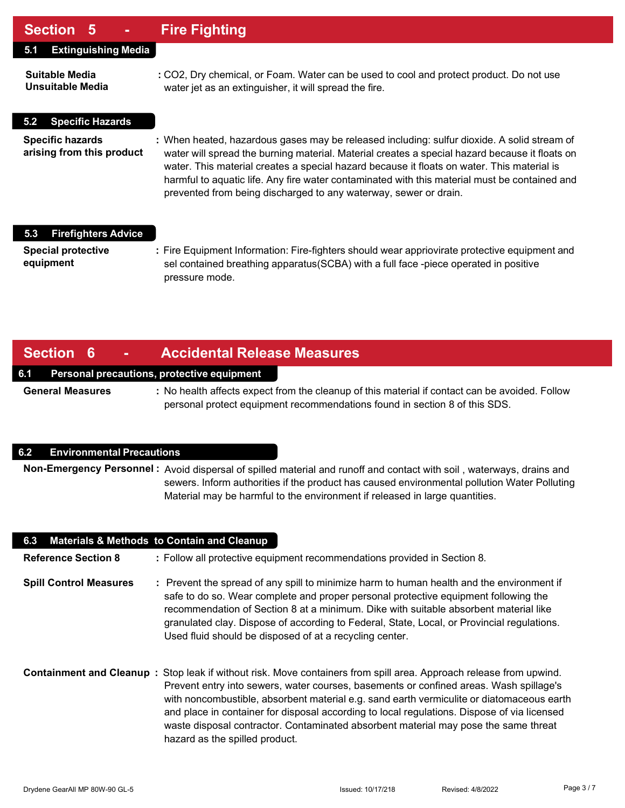### **Section 5 - Fire Fighting**

| UUUNUI V                                             |                                                                                                                                                                                                                                                                                                                                                                                                                                                                  |
|------------------------------------------------------|------------------------------------------------------------------------------------------------------------------------------------------------------------------------------------------------------------------------------------------------------------------------------------------------------------------------------------------------------------------------------------------------------------------------------------------------------------------|
| <b>Extinguishing Media</b><br>5.1                    |                                                                                                                                                                                                                                                                                                                                                                                                                                                                  |
| Suitable Media<br>Unsuitable Media                   | : CO2, Dry chemical, or Foam. Water can be used to cool and protect product. Do not use<br>water jet as an extinguisher, it will spread the fire.                                                                                                                                                                                                                                                                                                                |
| <b>Specific Hazards</b><br>5.2                       |                                                                                                                                                                                                                                                                                                                                                                                                                                                                  |
| <b>Specific hazards</b><br>arising from this product | : When heated, hazardous gases may be released including: sulfur dioxide. A solid stream of<br>water will spread the burning material. Material creates a special hazard because it floats on<br>water. This material creates a special hazard because it floats on water. This material is<br>harmful to aquatic life. Any fire water contaminated with this material must be contained and<br>prevented from being discharged to any waterway, sewer or drain. |
| <b>Firefighters Advice</b><br>5.3                    |                                                                                                                                                                                                                                                                                                                                                                                                                                                                  |
| <b>Special protective</b><br>equipment               | : Fire Equipment Information: Fire-fighters should wear appriovirate protective equipment and<br>sel contained breathing apparatus (SCBA) with a full face -piece operated in positive<br>pressure mode.                                                                                                                                                                                                                                                         |

### **Section 6 - Accidental Release Measures**

#### **6.1 Personal precautions, protective equipment**

**General Measures :** No health affects expect from the cleanup of this material if contact can be avoided. Follow personal protect equipment recommendations found in section 8 of this SDS.

#### **6.2 Environmental Precautions**

**Non-Emergency Personnel :** Avoid dispersal of spilled material and runoff and contact with soil , waterways, drains and sewers. Inform authorities if the product has caused environmental pollution Water Polluting Material may be harmful to the environment if released in large quantities.

| 6.3                           | <b>Materials &amp; Methods to Contain and Cleanup</b>                                                                                                                                                                                                                                                                                                                                                                                                                                                                             |
|-------------------------------|-----------------------------------------------------------------------------------------------------------------------------------------------------------------------------------------------------------------------------------------------------------------------------------------------------------------------------------------------------------------------------------------------------------------------------------------------------------------------------------------------------------------------------------|
| <b>Reference Section 8</b>    | : Follow all protective equipment recommendations provided in Section 8.                                                                                                                                                                                                                                                                                                                                                                                                                                                          |
| <b>Spill Control Measures</b> | : Prevent the spread of any spill to minimize harm to human health and the environment if<br>safe to do so. Wear complete and proper personal protective equipment following the<br>recommendation of Section 8 at a minimum. Dike with suitable absorbent material like<br>granulated clay. Dispose of according to Federal, State, Local, or Provincial regulations.<br>Used fluid should be disposed of at a recycling center.                                                                                                 |
|                               | Containment and Cleanup: Stop leak if without risk. Move containers from spill area. Approach release from upwind.<br>Prevent entry into sewers, water courses, basements or confined areas. Wash spillage's<br>with noncombustible, absorbent material e.g. sand earth vermiculite or diatomaceous earth<br>and place in container for disposal according to local regulations. Dispose of via licensed<br>waste disposal contractor. Contaminated absorbent material may pose the same threat<br>hazard as the spilled product. |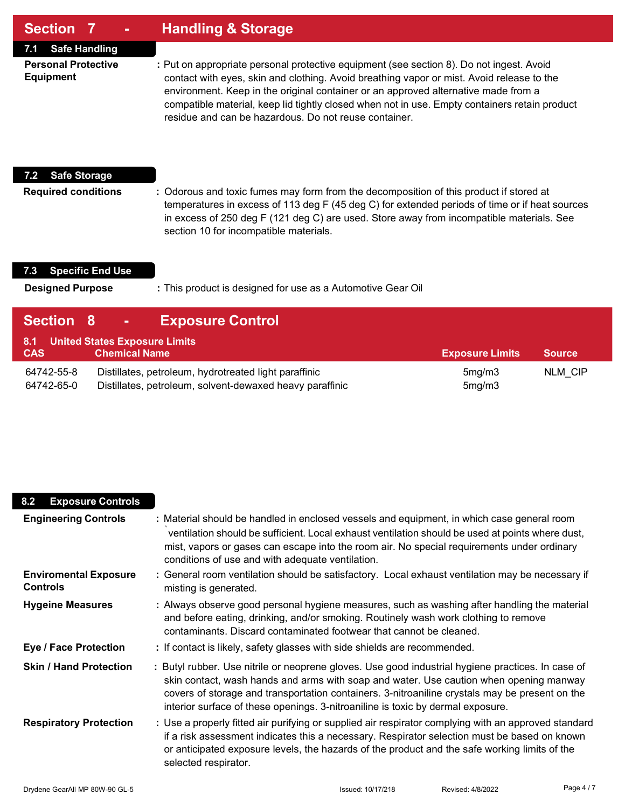### **Section 7 - Handling & Storage**

**7.1 Safe Handling**

**Personal Protective :** Put on appropriate personal protective equipment (see section 8). Do not ingest. Avoid **Equipment** contact with eyes, skin and clothing. Avoid breathing vapor or mist. Avoid release to the environment. Keep in the original container or an approved alternative made from a compatible material, keep lid tightly closed when not in use. Empty containers retain product residue and can be hazardous. Do not reuse container.

#### **7.2 Safe Storage**

**Required conditions :** Odorous and toxic fumes may form from the decomposition of this product if stored at temperatures in excess of 113 deg F (45 deg C) for extended periods of time or if heat sources in excess of 250 deg F (121 deg C) are used. Store away from incompatible materials. See section 10 for incompatible materials.

#### **7.3 Specific End Use**

**Designed Purpose :** This product is designed for use as a Automotive Gear Oil

| Section 8                | <b>Exposure Control</b><br><b>Contractor</b>                                                                      |                        |               |
|--------------------------|-------------------------------------------------------------------------------------------------------------------|------------------------|---------------|
| <b>CAS</b>               | 8.1 United States Exposure Limits<br><b>Chemical Name</b>                                                         | <b>Exposure Limits</b> | <b>Source</b> |
| 64742-55-8<br>64742-65-0 | Distillates, petroleum, hydrotreated light paraffinic<br>Distillates, petroleum, solvent-dewaxed heavy paraffinic | 5mg/m3<br>5mg/m3       | NLM CIP       |

| <b>Exposure Controls</b><br>8.2                 |                                                                                                                                                                                                                                                                                                                                                                                  |
|-------------------------------------------------|----------------------------------------------------------------------------------------------------------------------------------------------------------------------------------------------------------------------------------------------------------------------------------------------------------------------------------------------------------------------------------|
| <b>Engineering Controls</b>                     | : Material should be handled in enclosed vessels and equipment, in which case general room<br>ventilation should be sufficient. Local exhaust ventilation should be used at points where dust,<br>mist, vapors or gases can escape into the room air. No special requirements under ordinary<br>conditions of use and with adequate ventilation.                                 |
| <b>Enviromental Exposure</b><br><b>Controls</b> | : General room ventilation should be satisfactory. Local exhaust ventilation may be necessary if<br>misting is generated.                                                                                                                                                                                                                                                        |
| <b>Hygeine Measures</b>                         | : Always observe good personal hygiene measures, such as washing after handling the material<br>and before eating, drinking, and/or smoking. Routinely wash work clothing to remove<br>contaminants. Discard contaminated footwear that cannot be cleaned.                                                                                                                       |
| <b>Eye / Face Protection</b>                    | : If contact is likely, safety glasses with side shields are recommended.                                                                                                                                                                                                                                                                                                        |
| <b>Skin / Hand Protection</b>                   | : Butyl rubber. Use nitrile or neoprene gloves. Use good industrial hygiene practices. In case of<br>skin contact, wash hands and arms with soap and water. Use caution when opening manway<br>covers of storage and transportation containers. 3-nitroaniline crystals may be present on the<br>interior surface of these openings. 3-nitroaniline is toxic by dermal exposure. |
| <b>Respiratory Protection</b>                   | : Use a properly fitted air purifying or supplied air respirator complying with an approved standard<br>if a risk assessment indicates this a necessary. Respirator selection must be based on known<br>or anticipated exposure levels, the hazards of the product and the safe working limits of the<br>selected respirator.                                                    |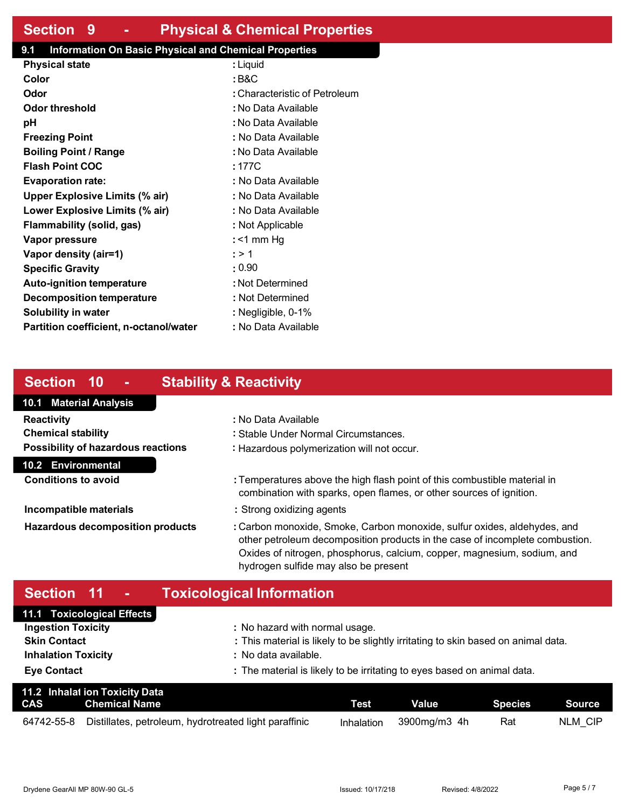### **Section 9 - Physical & Chemical Properties**

#### **9.1 Information On Basic Physical and Chemical Properties**

| <b>Physical state</b>                  | : Liquid                      |
|----------------------------------------|-------------------------------|
| Color                                  | : B&C                         |
| Odor                                   | : Characteristic of Petroleum |
| Odor threshold                         | : No Data Available           |
| рH                                     | : No Data Available           |
| <b>Freezing Point</b>                  | : No Data Available           |
| <b>Boiling Point / Range</b>           | : No Data Available           |
| <b>Flash Point COC</b>                 | : 177C                        |
| <b>Evaporation rate:</b>               | : No Data Available           |
| <b>Upper Explosive Limits (% air)</b>  | : No Data Available           |
| Lower Explosive Limits (% air)         | : No Data Available           |
| Flammability (solid, gas)              | : Not Applicable              |
| Vapor pressure                         | : <1 mm Hq                    |
| Vapor density (air=1)                  | : > 1                         |
| <b>Specific Gravity</b>                | : 0.90                        |
| <b>Auto-ignition temperature</b>       | : Not Determined              |
| <b>Decomposition temperature</b>       | : Not Determined              |
| <b>Solubility in water</b>             | : Negligible, 0-1%            |
| Partition coefficient, n-octanol/water | : No Data Available           |

# **Section 10 - Stability & Reactivity**

# **10.1 Material Analysis 10.2 Environmental Reactivity :** No Data Available **Chemical stability :** Stable Under Normal Circumstances. **Possibility of hazardous reactions :** Hazardous polymerization will not occur.

**Conditions to avoid by <b>E : Temperatures above the high flash point of this combustible material in** combination with sparks, open flames, or other sources of ignition.

- **Incompatible materials incompatible materials incompatible materials**
- **Hazardous decomposition products :** Carbon monoxide, Smoke, Carbon monoxide, sulfur oxides, aldehydes, and other petroleum decomposition products in the case of incomplete combustion. Oxides of nitrogen, phosphorus, calcium, copper, magnesium, sodium, and hydrogen sulfide may also be present

# **Section 11 - Toxicological Information**

| 11.1 Toxicological Effects |                                                                                   |
|----------------------------|-----------------------------------------------------------------------------------|
| <b>Ingestion Toxicity</b>  | : No hazard with normal usage.                                                    |
| <b>Skin Contact</b>        | : This material is likely to be slightly irritating to skin based on animal data. |
| <b>Inhalation Toxicity</b> | : No data available.                                                              |
| <b>Eye Contact</b>         | : The material is likely to be irritating to eyes based on animal data.           |

|            | 11.2 Inhalat ion Toxicity Data                        |             |              |         |         |
|------------|-------------------------------------------------------|-------------|--------------|---------|---------|
| CAS        | Chemical Name                                         | <b>Test</b> | Value        | Species | Source  |
| 64742-55-8 | Distillates, petroleum, hydrotreated light paraffinic | Inhalation  | 3900mg/m3 4h | Rat     | NLM CIP |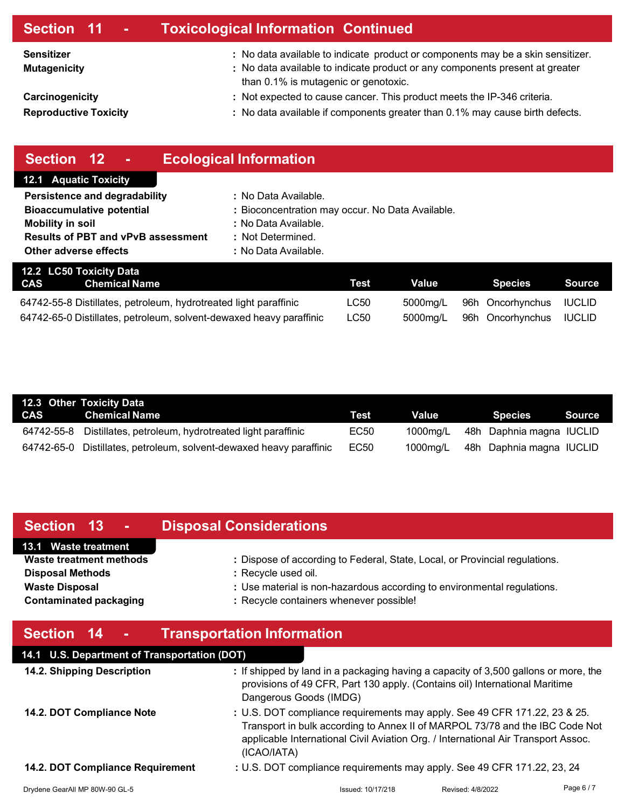| Section 11 -                                    | <b>Toxicological Information Continued</b>                                                                                                                                                              |
|-------------------------------------------------|---------------------------------------------------------------------------------------------------------------------------------------------------------------------------------------------------------|
| <b>Sensitizer</b><br><b>Mutagenicity</b>        | : No data available to indicate product or components may be a skin sensitizer.<br>: No data available to indicate product or any components present at greater<br>than 0.1% is mutagenic or genotoxic. |
| Carcinogenicity<br><b>Reproductive Toxicity</b> | : Not expected to cause cancer. This product meets the IP-346 criteria.<br>: No data available if components greater than 0.1% may cause birth defects.                                                 |
|                                                 |                                                                                                                                                                                                         |

| Section 12<br>$\sim$                                                     | <b>Ecological Information</b>                    |             |                  |                  |               |
|--------------------------------------------------------------------------|--------------------------------------------------|-------------|------------------|------------------|---------------|
| <b>12.1 Aquatic Toxicity</b>                                             |                                                  |             |                  |                  |               |
| Persistence and degradability                                            | : No Data Available.                             |             |                  |                  |               |
| <b>Bioaccumulative potential</b>                                         | : Bioconcentration may occur. No Data Available. |             |                  |                  |               |
| <b>Mobility in soil</b>                                                  | : No Data Available.                             |             |                  |                  |               |
| <b>Results of PBT and vPvB assessment</b>                                | : Not Determined.                                |             |                  |                  |               |
| Other adverse effects                                                    | : No Data Available.                             |             |                  |                  |               |
| 12.2 LC50 Toxicity Data                                                  |                                                  |             |                  |                  |               |
| <b>CAS</b><br><b>Chemical Name</b>                                       |                                                  | <b>Test</b> | <b>Value</b>     | <b>Species</b>   | <b>Source</b> |
| LC50<br>64742-55-8 Distillates, petroleum, hydrotreated light paraffinic |                                                  | 5000mg/L    | 96h Oncorhynchus | <b>IUCLID</b>    |               |
| 64742-65-0 Distillates, petroleum, solvent-dewaxed heavy paraffinic      |                                                  | <b>LC50</b> | 5000mg/L         | 96h Oncorhynchus | <b>IUCLID</b> |

| 12.3 Other Toxicity Data                                            |      |          |                          |        |
|---------------------------------------------------------------------|------|----------|--------------------------|--------|
| CAS Chemical Name                                                   | Test | Value    | <b>Species</b>           | Source |
| 64742-55-8 Distillates, petroleum, hydrotreated light paraffinic    | EC50 | 1000ma/L | 48h Daphnia magna IUCLID |        |
| 64742-65-0 Distillates, petroleum, solvent-dewaxed heavy paraffinic | EC50 | 1000mg/L | 48h Daphnia magna IUCLID |        |

| <b>Section 13</b><br>$\sim 100$                                                                                                             | <b>Disposal Considerations</b>                                                                                                                                                                                           |  |  |
|---------------------------------------------------------------------------------------------------------------------------------------------|--------------------------------------------------------------------------------------------------------------------------------------------------------------------------------------------------------------------------|--|--|
| 13.1 Waste treatment<br><b>Waste treatment methods</b><br><b>Disposal Methods</b><br><b>Waste Disposal</b><br><b>Contaminated packaging</b> | : Dispose of according to Federal, State, Local, or Provincial regulations.<br>: Recycle used oil.<br>: Use material is non-hazardous according to environmental regulations.<br>: Recycle containers whenever possible! |  |  |
| Section 14 -                                                                                                                                | <b>Transportation Information</b>                                                                                                                                                                                        |  |  |
| 14.1 U.S. Department of Transportation (DOT)                                                                                                |                                                                                                                                                                                                                          |  |  |

| 14.2. Shipping Description       | : If shipped by land in a packaging having a capacity of 3,500 gallons or more, the<br>provisions of 49 CFR, Part 130 apply. (Contains oil) International Maritime<br>Dangerous Goods (IMDG)                                                                  |                   |          |
|----------------------------------|---------------------------------------------------------------------------------------------------------------------------------------------------------------------------------------------------------------------------------------------------------------|-------------------|----------|
| 14.2. DOT Compliance Note        | : U.S. DOT compliance requirements may apply. See 49 CFR 171.22, 23 & 25.<br>Transport in bulk according to Annex II of MARPOL 73/78 and the IBC Code Not<br>applicable International Civil Aviation Org. / International Air Transport Assoc.<br>(ICAO/IATA) |                   |          |
| 14.2. DOT Compliance Requirement | : U.S. DOT compliance requirements may apply. See 49 CFR 171.22, 23, 24                                                                                                                                                                                       |                   |          |
| Drydene GearAll MP 80W-90 GL-5   | Issued: 10/17/218                                                                                                                                                                                                                                             | Revised: 4/8/2022 | Page 6/7 |